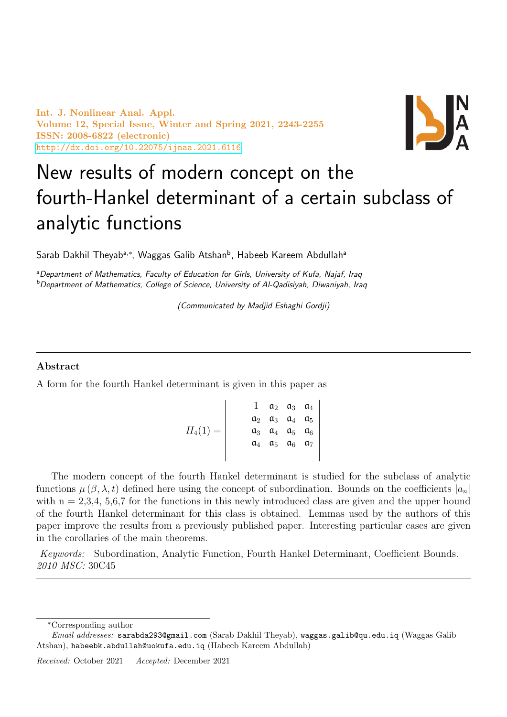Int. J. Nonlinear Anal. Appl. Volume 12, Special Issue, Winter and Spring 2021, 2243-2255 ISSN: 2008-6822 (electronic) <http://dx.doi.org/10.22075/ijnaa.2021.6116>



# New results of modern concept on the fourth-Hankel determinant of a certain subclass of analytic functions

Sarab Dakhil Theyab<sup>a,∗</sup>, Waggas Galib Atshan<sup>b</sup>, Habeeb Kareem Abdullah<sup>a</sup>

aDepartment of Mathematics, Faculty of Education for Girls, University of Kufa, Najaf, Iraq <sup>b</sup>Department of Mathematics, College of Science, University of Al-Qadisiyah, Diwaniyah, Iraq

(Communicated by Madjid Eshaghi Gordji)

### Abstract

A form for the fourth Hankel determinant is given in this paper as

$$
H_4(1) = \begin{vmatrix} 1 & a_2 & a_3 & a_4 \\ a_2 & a_3 & a_4 & a_5 \\ a_3 & a_4 & a_5 & a_6 \\ a_4 & a_5 & a_6 & a_7 \end{vmatrix}
$$

The modern concept of the fourth Hankel determinant is studied for the subclass of analytic functions  $\mu(\beta, \lambda, t)$  defined here using the concept of subordination. Bounds on the coefficients  $|a_n|$ with  $n = 2,3,4,5,6,7$  for the functions in this newly introduced class are given and the upper bound of the fourth Hankel determinant for this class is obtained. Lemmas used by the authors of this paper improve the results from a previously published paper. Interesting particular cases are given in the corollaries of the main theorems.

Keywords: Subordination, Analytic Function, Fourth Hankel Determinant, Coefficient Bounds. 2010 MSC: 30C45

<sup>∗</sup>Corresponding author

Email addresses: sarabda293@gmail.com (Sarab Dakhil Theyab), waggas.galib@qu.edu.iq (Waggas Galib Atshan), habeebk.abdullah@uokufa.edu.iq (Habeeb Kareem Abdullah)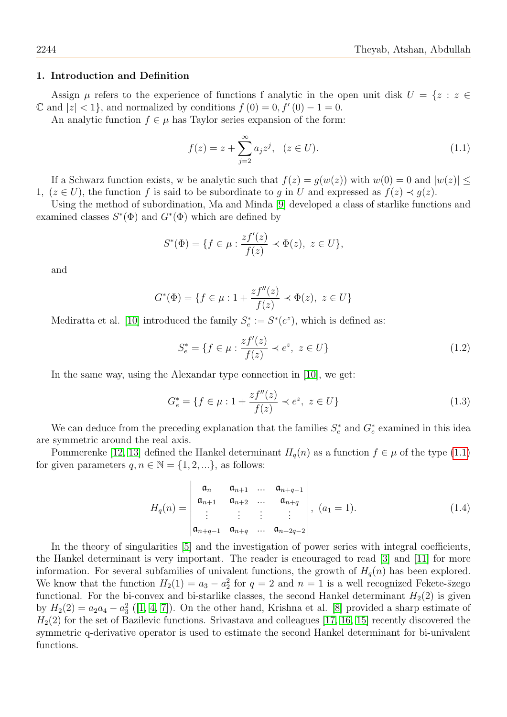#### 1. Introduction and Definition

Assign  $\mu$  refers to the experience of functions f analytic in the open unit disk  $U = \{z : z \in$  $\mathbb{C}$  and  $|z| < 1$ , and normalized by conditions  $f(0) = 0, f'(0) - 1 = 0$ .

An analytic function  $f \in \mu$  has Taylor series expansion of the form:

<span id="page-1-0"></span>
$$
f(z) = z + \sum_{j=2}^{\infty} a_j z^j, \quad (z \in U).
$$
 (1.1)

If a Schwarz function exists, w be analytic such that  $f(z) = g(w(z))$  with  $w(0) = 0$  and  $|w(z)| \le$ 1,  $(z \in U)$ , the function f is said to be subordinate to q in U and expressed as  $f(z) \prec g(z)$ .

Using the method of subordination, Ma and Minda [\[9\]](#page-12-0) developed a class of starlike functions and examined classes  $S^*(\Phi)$  and  $G^*(\Phi)$  which are defined by

$$
S^*(\Phi) = \{ f \in \mu : \frac{zf'(z)}{f(z)} \prec \Phi(z), \ z \in U \},\
$$

and

$$
G^*(\Phi) = \{ f \in \mu : 1 + \frac{zf''(z)}{f(z)} \prec \Phi(z), \ z \in U \}
$$

Mediratta et al. [\[10\]](#page-12-1) introduced the family  $S_e^* := S^*(e^z)$ , which is defined as:

$$
S_e^* = \{ f \in \mu : \frac{zf'(z)}{f(z)} \prec e^z, \ z \in U \}
$$
 (1.2)

In the same way, using the Alexandar type connection in [\[10\]](#page-12-1), we get:

$$
G_e^* = \{ f \in \mu : 1 + \frac{zf''(z)}{f(z)} \prec e^z, \ z \in U \}
$$
\n(1.3)

We can deduce from the preceding explanation that the families  $S_e^*$  and  $G_e^*$  examined in this idea are symmetric around the real axis.

Pommerenke [\[12,](#page-12-2) [13\]](#page-12-3) defined the Hankel determinant  $H_q(n)$  as a function  $f \in \mu$  of the type [\(1.1\)](#page-1-0) for given parameters  $q, n \in \mathbb{N} = \{1, 2, ...\}$ , as follows:

$$
H_q(n) = \begin{vmatrix} \mathfrak{a}_n & \mathfrak{a}_{n+1} & \dots & \mathfrak{a}_{n+q-1} \\ \mathfrak{a}_{n+1} & \mathfrak{a}_{n+2} & \dots & \mathfrak{a}_{n+q} \\ \vdots & \vdots & \vdots & \vdots \\ \mathfrak{a}_{n+q-1} & \mathfrak{a}_{n+q} & \dots & \mathfrak{a}_{n+2q-2} \end{vmatrix}, (a_1 = 1).
$$
 (1.4)

In the theory of singularities [\[5\]](#page-12-4) and the investigation of power series with integral coefficients, the Hankel determinant is very important. The reader is encouraged to read [\[3\]](#page-12-5) and [\[11\]](#page-12-6) for more information. For several subfamilies of univalent functions, the growth of  $H_q(n)$  has been explored. We know that the function  $H_2(1) = a_3 - a_2^2$  for  $q = 2$  and  $n = 1$  is a well recognized Fekete- $\ddot{s}$ zego functional. For the bi-convex and bi-starlike classes, the second Hankel determinant  $H_2(2)$  is given by  $H_2(2) = a_2 a_4 - a_3^2$  ([\[1,](#page-12-7) [4,](#page-12-8) [7\]](#page-12-9)). On the other hand, Krishna et al. [\[8\]](#page-12-10) provided a sharp estimate of  $H<sub>2</sub>(2)$  for the set of Bazilevic functions. Srivastava and colleagues [\[17,](#page-12-11) [16,](#page-12-12) [15\]](#page-12-13) recently discovered the symmetric q-derivative operator is used to estimate the second Hankel determinant for bi-univalent functions.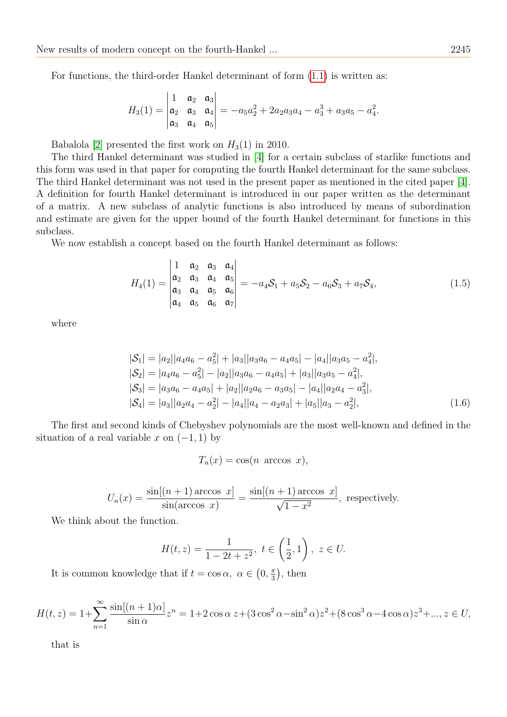For functions, the third-order Hankel determinant of form [\(1.1\)](#page-1-0) is written as:

$$
H_3(1) = \begin{vmatrix} 1 & a_2 & a_3 \\ a_2 & a_3 & a_4 \\ a_3 & a_4 & a_5 \end{vmatrix} = -a_5a_2^2 + 2a_2a_3a_4 - a_3^3 + a_3a_5 - a_4^2.
$$

Babalola [\[2\]](#page-12-14) presented the first work on  $H_3(1)$  in 2010.

The third Hankel determinant was studied in [\[4\]](#page-12-8) for a certain subclass of starlike functions and this form was used in that paper for computing the fourth Hankel determinant for the same subclass. The third Hankel determinant was not used in the present paper as mentioned in the cited paper [\[4\]](#page-12-8). A definition for fourth Hankel determinant is introduced in our paper written as the determinant of a matrix. A new subclass of analytic functions is also introduced by means of subordination and estimate are given for the upper bound of the fourth Hankel determinant for functions in this subclass.

We now establish a concept based on the fourth Hankel determinant as follows:

<span id="page-2-1"></span>
$$
H_4(1) = \begin{vmatrix} 1 & a_2 & a_3 & a_4 \\ a_2 & a_3 & a_4 & a_5 \\ a_3 & a_4 & a_5 & a_6 \\ a_4 & a_5 & a_6 & a_7 \end{vmatrix} = -a_4 S_1 + a_5 S_2 - a_6 S_3 + a_7 S_4,
$$
 (1.5)

where

$$
|S_1| = |a_2||a_4a_6 - a_5^2| + |a_3||a_3a_6 - a_4a_5| - |a_4||a_3a_5 - a_4^2|,
$$
  
\n
$$
|S_2| = |a_4a_6 - a_5^2| - |a_2||a_3a_6 - a_4a_5| + |a_3||a_3a_5 - a_4^2|,
$$
  
\n
$$
|S_3| = |a_3a_6 - a_4a_5| + |a_2||a_2a_6 - a_3a_5| - |a_4||a_2a_4 - a_3^2|,
$$
  
\n
$$
|S_4| = |a_3||a_2a_4 - a_2^2| - |a_4||a_4 - a_2a_3| + |a_5||a_3 - a_2^2|,
$$
\n(1.6)

The first and second kinds of Chebyshev polynomials are the most well-known and defined in the situation of a real variable x on  $(-1, 1)$  by

<span id="page-2-0"></span> $T_n(x) = \cos(n \arccos x),$ 

$$
U_n(x) = \frac{\sin[(n+1)\arccos x]}{\sin(\arccos x)} = \frac{\sin[(n+1)\arccos x]}{\sqrt{1-x^2}},
$$
 respectively.

We think about the function.

$$
H(t,z) = \frac{1}{1 - 2t + z^2}, \ t \in \left(\frac{1}{2}, 1\right), \ z \in U.
$$

It is common knowledge that if  $t = \cos \alpha$ ,  $\alpha \in (0, \frac{\pi}{3})$  $\frac{\pi}{3}$ , then

$$
H(t,z) = 1 + \sum_{n=1}^{\infty} \frac{\sin[(n+1)\alpha]}{\sin \alpha} z^n = 1 + 2\cos\alpha \ z + (3\cos^2\alpha - \sin^2\alpha) z^2 + (8\cos^3\alpha - 4\cos\alpha) z^3 + \dots, z \in U,
$$

that is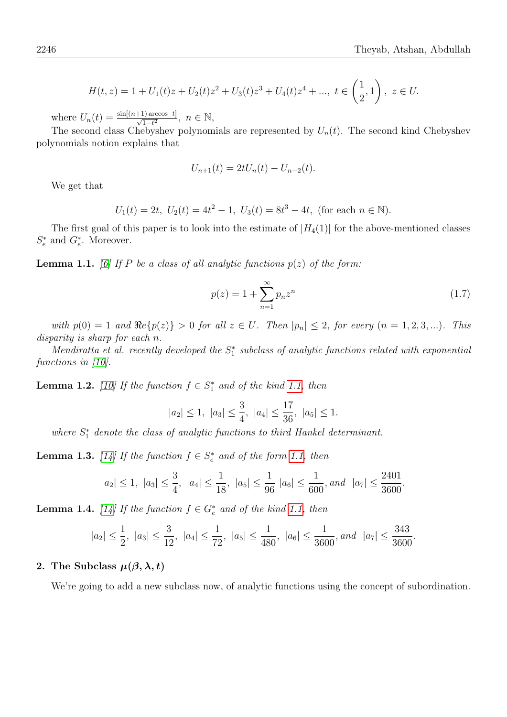$$
H(t,z) = 1 + U_1(t)z + U_2(t)z^2 + U_3(t)z^3 + U_4(t)z^4 + \dots, \ t \in \left(\frac{1}{2},1\right), \ z \in U.
$$

where  $U_n(t) = \frac{\sin[(n+1)\arccos t]}{\sqrt{1-t^2}}, n \in \mathbb{N},$ 

The second class Chebyshev polynomials are represented by  $U_n(t)$ . The second kind Chebyshev polynomials notion explains that

$$
U_{n+1}(t) = 2tU_n(t) - U_{n-2}(t).
$$

We get that

$$
U_1(t) = 2t
$$
,  $U_2(t) = 4t^2 - 1$ ,  $U_3(t) = 8t^3 - 4t$ , (for each  $n \in \mathbb{N}$ ).

The first goal of this paper is to look into the estimate of  $|H_4(1)|$  for the above-mentioned classes  $S_e^*$  and  $G_e^*$ . Moreover.

<span id="page-3-0"></span>**Lemma 1.1.** [\[6\]](#page-12-15) If P be a class of all analytic functions  $p(z)$  of the form:

$$
p(z) = 1 + \sum_{n=1}^{\infty} p_n z^n
$$
 (1.7)

with  $p(0) = 1$  and  $\Re e\{p(z)\} > 0$  for all  $z \in U$ . Then  $|p_n| \leq 2$ , for every  $(n = 1, 2, 3, ...)$ . This disparity is sharp for each n.

Mendiratta et al. recently developed the  $S_1^*$  subclass of analytic functions related with exponential functions in [\[10\]](#page-12-1).

<span id="page-3-1"></span>**Lemma 1.2.** [\[10\]](#page-12-1) If the function  $f \in S^*_1$  and of the kind [1.1,](#page-3-0) then

$$
|a_2| \le 1
$$
,  $|a_3| \le \frac{3}{4}$ ,  $|a_4| \le \frac{17}{36}$ ,  $|a_5| \le 1$ .

where  $S_{1}^{*}$  denote the class of analytic functions to third Hankel determinant.

**Lemma 1.3.** [\[14\]](#page-12-16) If the function  $f \in S_e^*$  and of the form [1.1,](#page-3-0) then

$$
|a_2| \le 1
$$
,  $|a_3| \le \frac{3}{4}$ ,  $|a_4| \le \frac{1}{18}$ ,  $|a_5| \le \frac{1}{96} |a_6| \le \frac{1}{600}$ , and  $|a_7| \le \frac{2401}{3600}$ .

**Lemma 1.4.** [\[14\]](#page-12-16) If the function  $f \in G_e^*$  and of the kind [1.1,](#page-3-0) then

$$
|a_2| \le \frac{1}{2}
$$
,  $|a_3| \le \frac{3}{12}$ ,  $|a_4| \le \frac{1}{72}$ ,  $|a_5| \le \frac{1}{480}$ ,  $|a_6| \le \frac{1}{3600}$ , and  $|a_7| \le \frac{343}{3600}$ .

## 2. The Subclass  $\mu(\beta, \lambda, t)$

We're going to add a new subclass now, of analytic functions using the concept of subordination.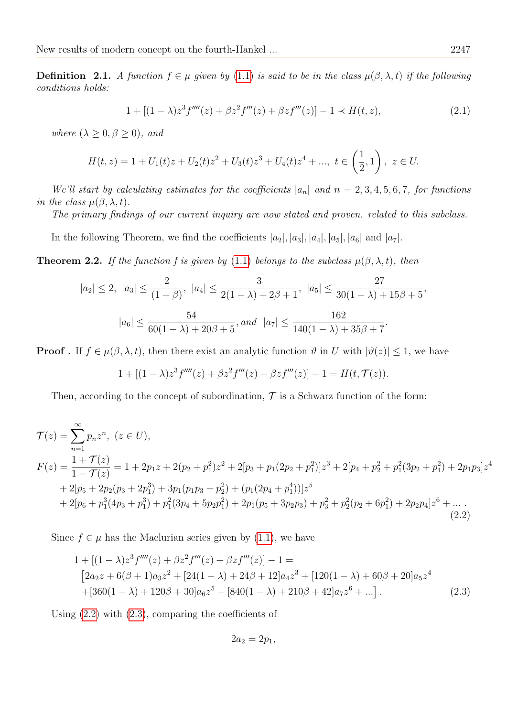**Definition 2.1.** A function  $f \in \mu$  given by [\(1.1\)](#page-1-0) is said to be in the class  $\mu(\beta, \lambda, t)$  if the following conditions holds:

$$
1 + [(1 - \lambda)z^{3}f''''(z) + \beta z^{2}f'''(z) + \beta zf'''(z)] - 1 \prec H(t, z), \tag{2.1}
$$

where  $(\lambda \geq 0, \beta \geq 0)$ , and

$$
H(t, z) = 1 + U_1(t)z + U_2(t)z^2 + U_3(t)z^3 + U_4(t)z^4 + \dots, \ t \in \left(\frac{1}{2}, 1\right), \ z \in U.
$$

We'll start by calculating estimates for the coefficients  $|a_n|$  and  $n = 2, 3, 4, 5, 6, 7$ , for functions in the class  $\mu(\beta, \lambda, t)$ .

The primary findings of our current inquiry are now stated and proven. related to this subclass.

In the following Theorem, we find the coefficients  $|a_2|, |a_3|, |a_4|, |a_5|, |a_6|$  and  $|a_7|$ .

<span id="page-4-2"></span>**Theorem 2.2.** If the function f is given by [\(1.1\)](#page-1-0) belongs to the subclass  $\mu(\beta, \lambda, t)$ , then

$$
|a_2| \le 2, \ |a_3| \le \frac{2}{(1+\beta)}, \ |a_4| \le \frac{3}{2(1-\lambda)+2\beta+1}, \ |a_5| \le \frac{27}{30(1-\lambda)+15\beta+5},
$$

$$
|a_6| \le \frac{54}{60(1-\lambda)+20\beta+5}, \text{and} \ |a_7| \le \frac{162}{140(1-\lambda)+35\beta+7}.
$$

**Proof**. If  $f \in \mu(\beta, \lambda, t)$ , then there exist an analytic function  $\vartheta$  in U with  $|\vartheta(z)| \leq 1$ , we have

$$
1 + [(1 - \lambda)z^{3}f''''(z) + \beta z^{2}f'''(z) + \beta z f'''(z)] - 1 = H(t, \mathcal{T}(z)).
$$

Then, according to the concept of subordination,  $\mathcal T$  is a Schwarz function of the form:

$$
\mathcal{T}(z) = \sum_{n=1}^{\infty} p_n z^n, \ (z \in U),
$$
\n
$$
F(z) = \frac{1 + \mathcal{T}(z)}{1 - \mathcal{T}(z)} = 1 + 2p_1 z + 2(p_2 + p_1^2) z^2 + 2[p_3 + p_1(2p_2 + p_1^2)] z^3 + 2[p_4 + p_2^2 + p_1^2(3p_2 + p_1^2) + 2p_1p_3] z^4
$$
\n
$$
+ 2[p_5 + 2p_2(p_3 + 2p_1^3) + 3p_1(p_1p_3 + p_2^2) + (p_1(2p_4 + p_1^4))] z^5
$$
\n
$$
+ 2[p_6 + p_1^3(4p_3 + p_1^3) + p_1^2(3p_4 + 5p_2p_1^2) + 2p_1(p_5 + 3p_2p_3) + p_3^2 + p_2^2(p_2 + 6p_1^2) + 2p_2p_4] z^6 + \dots
$$
\n(2.2)

Since  $f \in \mu$  has the Maclurian series given by [\(1.1\)](#page-1-0), we have

$$
1 + [(1 - \lambda)z^{3}f''''(z) + \beta z^{2}f'''(z) + \beta z f'''(z)] - 1 =
$$
  
\n
$$
[2a_{2}z + 6(\beta + 1)a_{3}z^{2} + [24(1 - \lambda) + 24\beta + 12]a_{4}z^{3} + [120(1 - \lambda) + 60\beta + 20]a_{5}z^{4}
$$
  
\n
$$
+[360(1 - \lambda) + 120\beta + 30]a_{6}z^{5} + [840(1 - \lambda) + 210\beta + 42]a_{7}z^{6} + ...].
$$
\n(2.3)

Using [\(2.2\)](#page-4-0) with [\(2.3\)](#page-4-1), comparing the coefficients of

<span id="page-4-1"></span><span id="page-4-0"></span>
$$
2a_2=2p_1,
$$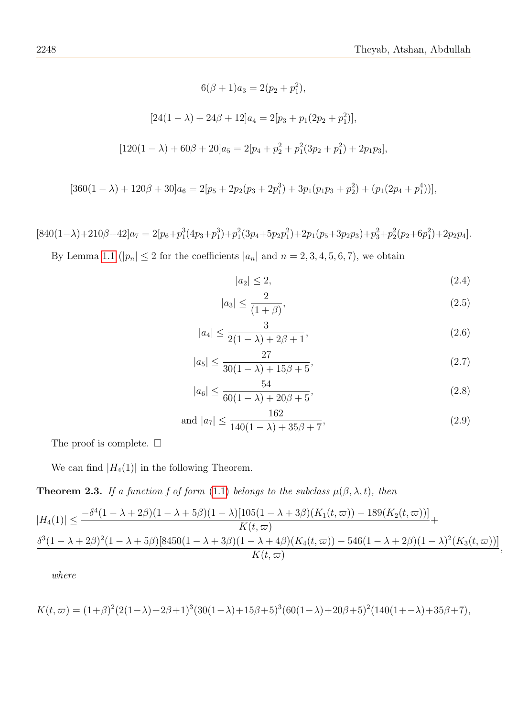$$
6(\beta + 1)a_3 = 2(p_2 + p_1^2),
$$
  
\n
$$
[24(1 - \lambda) + 24\beta + 12]a_4 = 2[p_3 + p_1(2p_2 + p_1^2)],
$$
  
\n
$$
[120(1 - \lambda) + 60\beta + 20]a_5 = 2[p_4 + p_2^2 + p_1^2(3p_2 + p_1^2) + 2p_1p_3],
$$

$$
[360(1 - \lambda) + 120\beta + 30]a_6 = 2[p_5 + 2p_2(p_3 + 2p_1^3) + 3p_1(p_1p_3 + p_2^2) + (p_1(2p_4 + p_1^4))],
$$

 $[840(1-\lambda)+210\beta+42]a_7 = 2[p_6+p_1^3(4p_3+p_1^3)+p_1^2(3p_4+5p_2p_1^2)+2p_1(p_5+3p_2p_3)+p_3^2+p_2^2(p_2+6p_1^2)+2p_2p_4].$ 

By Lemma [1.1](#page-3-0) ( $|p_n| \leq 2$  for the coefficients  $|a_n|$  and  $n = 2, 3, 4, 5, 6, 7$ ), we obtain

<span id="page-5-0"></span>
$$
|a_2| \le 2,\tag{2.4}
$$

<span id="page-5-1"></span>
$$
|a_3| \le \frac{2}{(1+\beta)},\tag{2.5}
$$

<span id="page-5-2"></span>
$$
|a_4| \le \frac{3}{2(1-\lambda) + 2\beta + 1},\tag{2.6}
$$

<span id="page-5-3"></span>
$$
|a_5| \le \frac{27}{30(1-\lambda) + 15\beta + 5},\tag{2.7}
$$

<span id="page-5-4"></span>
$$
|a_6| \le \frac{54}{60(1-\lambda) + 20\beta + 5},\tag{2.8}
$$

<span id="page-5-5"></span>and 
$$
|a_7| \le \frac{162}{140(1-\lambda) + 35\beta + 7}
$$
, (2.9)

The proof is complete.  $\square$ 

We can find  $|H_4(1)|$  in the following Theorem.

**Theorem 2.3.** If a function f of form [\(1.1\)](#page-1-0) belongs to the subclass  $\mu(\beta, \lambda, t)$ , then

$$
|H_4(1)| \le \frac{-\delta^4 (1 - \lambda + 2\beta)(1 - \lambda + 5\beta)(1 - \lambda)[105(1 - \lambda + 3\beta)(K_1(t, \varpi)) - 189(K_2(t, \varpi))]}{K(t, \varpi)} + \frac{\delta^3 (1 - \lambda + 2\beta)^2 (1 - \lambda + 5\beta)[8450(1 - \lambda + 3\beta)(1 - \lambda + 4\beta)(K_4(t, \varpi)) - 546(1 - \lambda + 2\beta)(1 - \lambda)^2(K_3(t, \varpi))]}{K(t, \varpi)},
$$

$$
K(t, \varpi) = (1+\beta)^2 (2(1-\lambda) + 2\beta + 1)^3 (30(1-\lambda) + 15\beta + 5)^3 (60(1-\lambda) + 20\beta + 5)^2 (140(1+\lambda) + 35\beta + 7),
$$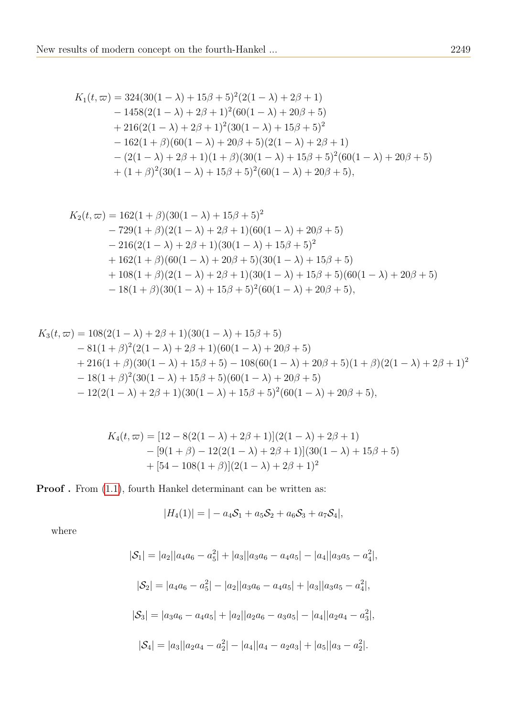$$
K_1(t, \varpi) = 324(30(1 - \lambda) + 15\beta + 5)^2(2(1 - \lambda) + 2\beta + 1)
$$
  
\n
$$
- 1458(2(1 - \lambda) + 2\beta + 1)^2(60(1 - \lambda) + 20\beta + 5)
$$
  
\n
$$
+ 216(2(1 - \lambda) + 2\beta + 1)^2(30(1 - \lambda) + 15\beta + 5)^2
$$
  
\n
$$
- 162(1 + \beta)(60(1 - \lambda) + 20\beta + 5)(2(1 - \lambda) + 2\beta + 1)
$$
  
\n
$$
- (2(1 - \lambda) + 2\beta + 1)(1 + \beta)(30(1 - \lambda) + 15\beta + 5)^2(60(1 - \lambda) + 20\beta + 5)
$$
  
\n
$$
+ (1 + \beta)^2(30(1 - \lambda) + 15\beta + 5)^2(60(1 - \lambda) + 20\beta + 5),
$$

$$
K_2(t, \varpi) = 162(1+\beta)(30(1-\lambda) + 15\beta + 5)^2
$$
  
\n
$$
-729(1+\beta)(2(1-\lambda) + 2\beta + 1)(60(1-\lambda) + 20\beta + 5)
$$
  
\n
$$
-216(2(1-\lambda) + 2\beta + 1)(30(1-\lambda) + 15\beta + 5)^2
$$
  
\n
$$
+162(1+\beta)(60(1-\lambda) + 20\beta + 5)(30(1-\lambda) + 15\beta + 5)
$$
  
\n
$$
+108(1+\beta)(2(1-\lambda) + 2\beta + 1)(30(1-\lambda) + 15\beta + 5)(60(1-\lambda) + 20\beta + 5)
$$
  
\n
$$
-18(1+\beta)(30(1-\lambda) + 15\beta + 5)^2(60(1-\lambda) + 20\beta + 5),
$$

$$
K_3(t, \varpi) = 108(2(1 - \lambda) + 2\beta + 1)(30(1 - \lambda) + 15\beta + 5)
$$
  
\n
$$
- 81(1 + \beta)^2(2(1 - \lambda) + 2\beta + 1)(60(1 - \lambda) + 20\beta + 5)
$$
  
\n
$$
+ 216(1 + \beta)(30(1 - \lambda) + 15\beta + 5) - 108(60(1 - \lambda) + 20\beta + 5)(1 + \beta)(2(1 - \lambda) + 2\beta + 1)^2
$$
  
\n
$$
- 18(1 + \beta)^2(30(1 - \lambda) + 15\beta + 5)(60(1 - \lambda) + 20\beta + 5)
$$
  
\n
$$
- 12(2(1 - \lambda) + 2\beta + 1)(30(1 - \lambda) + 15\beta + 5)^2(60(1 - \lambda) + 20\beta + 5),
$$

$$
K_4(t, \varpi) = [12 - 8(2(1 - \lambda) + 2\beta + 1)](2(1 - \lambda) + 2\beta + 1)
$$
  
– [9(1 + \beta) – 12(2(1 - \lambda) + 2\beta + 1)](30(1 - \lambda) + 15\beta + 5)  
+ [54 – 108(1 + \beta)](2(1 - \lambda) + 2\beta + 1)<sup>2</sup>

**Proof**. From  $(1.1)$ , fourth Hankel determinant can be written as:

$$
|H_4(1)| = |-a_4S_1 + a_5S_2 + a_6S_3 + a_7S_4|,
$$

$$
|\mathcal{S}_1| = |a_2||a_4a_6 - a_5^2| + |a_3||a_3a_6 - a_4a_5| - |a_4||a_3a_5 - a_4^2|,
$$
  
\n
$$
|\mathcal{S}_2| = |a_4a_6 - a_5^2| - |a_2||a_3a_6 - a_4a_5| + |a_3||a_3a_5 - a_4^2|,
$$
  
\n
$$
|\mathcal{S}_3| = |a_3a_6 - a_4a_5| + |a_2||a_2a_6 - a_3a_5| - |a_4||a_2a_4 - a_3^2|,
$$
  
\n
$$
|\mathcal{S}_4| = |a_3||a_2a_4 - a_2^2| - |a_4||a_4 - a_2a_3| + |a_5||a_3 - a_2^2|.
$$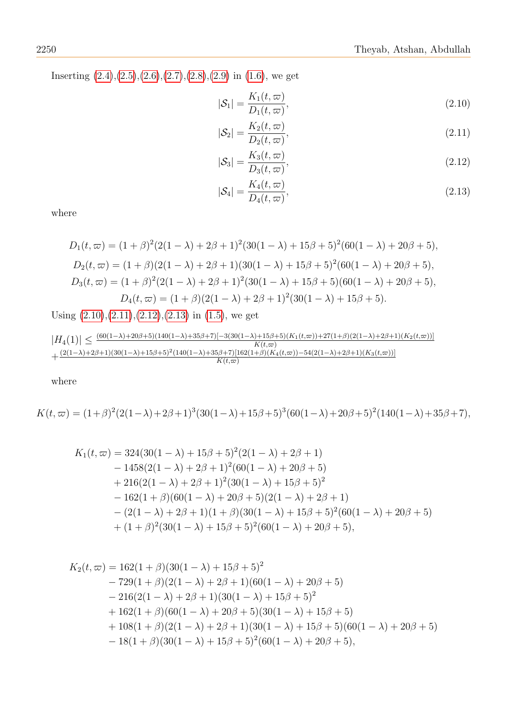Inserting  $(2.4),(2.5),(2.6),(2.7),(2.8),(2.9)$  $(2.4),(2.5),(2.6),(2.7),(2.8),(2.9)$  $(2.4),(2.5),(2.6),(2.7),(2.8),(2.9)$  $(2.4),(2.5),(2.6),(2.7),(2.8),(2.9)$  $(2.4),(2.5),(2.6),(2.7),(2.8),(2.9)$  $(2.4),(2.5),(2.6),(2.7),(2.8),(2.9)$  $(2.4),(2.5),(2.6),(2.7),(2.8),(2.9)$  $(2.4),(2.5),(2.6),(2.7),(2.8),(2.9)$  $(2.4),(2.5),(2.6),(2.7),(2.8),(2.9)$  $(2.4),(2.5),(2.6),(2.7),(2.8),(2.9)$  $(2.4),(2.5),(2.6),(2.7),(2.8),(2.9)$  in  $(1.6)$ , we get

<span id="page-7-0"></span>
$$
|\mathcal{S}_1| = \frac{K_1(t, \varpi)}{D_1(t, \varpi)},\tag{2.10}
$$

<span id="page-7-1"></span>
$$
|\mathcal{S}_2| = \frac{K_2(t, \varpi)}{D_2(t, \varpi)},\tag{2.11}
$$

<span id="page-7-2"></span>
$$
|\mathcal{S}_3| = \frac{K_3(t, \varpi)}{D_3(t, \varpi)},\tag{2.12}
$$

<span id="page-7-3"></span>
$$
|\mathcal{S}_4| = \frac{K_4(t, \varpi)}{D_4(t, \varpi)},\tag{2.13}
$$

where

$$
D_1(t, \varpi) = (1 + \beta)^2 (2(1 - \lambda) + 2\beta + 1)^2 (30(1 - \lambda) + 15\beta + 5)^2 (60(1 - \lambda) + 20\beta + 5),
$$
  
\n
$$
D_2(t, \varpi) = (1 + \beta)(2(1 - \lambda) + 2\beta + 1)(30(1 - \lambda) + 15\beta + 5)^2 (60(1 - \lambda) + 20\beta + 5),
$$
  
\n
$$
D_3(t, \varpi) = (1 + \beta)^2 (2(1 - \lambda) + 2\beta + 1)^2 (30(1 - \lambda) + 15\beta + 5)(60(1 - \lambda) + 20\beta + 5),
$$
  
\n
$$
D_4(t, \varpi) = (1 + \beta)(2(1 - \lambda) + 2\beta + 1)^2 (30(1 - \lambda) + 15\beta + 5).
$$

Using  $(2.10),(2.11),(2.12),(2.13)$  $(2.10),(2.11),(2.12),(2.13)$  $(2.10),(2.11),(2.12),(2.13)$  $(2.10),(2.11),(2.12),(2.13)$  $(2.10),(2.11),(2.12),(2.13)$  $(2.10),(2.11),(2.12),(2.13)$  $(2.10),(2.11),(2.12),(2.13)$  in  $(1.5)$ , we get

$$
|H_4(1)| \leq \frac{(60(1-\lambda)+20\beta+5)(140(1-\lambda)+35\beta+7)[-3(30(1-\lambda)+15\beta+5)(K_1(t,\varpi))+27(1+\beta)(2(1-\lambda)+2\beta+1)(K_2(t,\varpi))]}{K(t,\varpi)} \\ + \frac{(2(1-\lambda)+2\beta+1)(30(1-\lambda)+15\beta+5)^2(140(1-\lambda)+35\beta+7)[162(1+\beta)(K_4(t,\varpi))-54(2(1-\lambda)+2\beta+1)(K_3(t,\varpi))]}{K(t,\varpi)}
$$

where

 $K(t, \varpi) = (1+\beta)^2(2(1-\lambda)+2\beta+1)^3(30(1-\lambda)+15\beta+5)^3(60(1-\lambda)+20\beta+5)^2(140(1-\lambda)+35\beta+7),$ 

$$
K_1(t, \varpi) = 324(30(1 - \lambda) + 15\beta + 5)^2(2(1 - \lambda) + 2\beta + 1)
$$
  
\n
$$
- 1458(2(1 - \lambda) + 2\beta + 1)^2(60(1 - \lambda) + 20\beta + 5)
$$
  
\n
$$
+ 216(2(1 - \lambda) + 2\beta + 1)^2(30(1 - \lambda) + 15\beta + 5)^2
$$
  
\n
$$
- 162(1 + \beta)(60(1 - \lambda) + 20\beta + 5)(2(1 - \lambda) + 2\beta + 1)
$$
  
\n
$$
- (2(1 - \lambda) + 2\beta + 1)(1 + \beta)(30(1 - \lambda) + 15\beta + 5)^2(60(1 - \lambda) + 20\beta + 5)
$$
  
\n
$$
+ (1 + \beta)^2(30(1 - \lambda) + 15\beta + 5)^2(60(1 - \lambda) + 20\beta + 5),
$$

$$
K_2(t, \varpi) = 162(1+\beta)(30(1-\lambda) + 15\beta + 5)^2
$$
  
\n
$$
-729(1+\beta)(2(1-\lambda) + 2\beta + 1)(60(1-\lambda) + 20\beta + 5)
$$
  
\n
$$
-216(2(1-\lambda) + 2\beta + 1)(30(1-\lambda) + 15\beta + 5)^2
$$
  
\n
$$
+162(1+\beta)(60(1-\lambda) + 20\beta + 5)(30(1-\lambda) + 15\beta + 5)
$$
  
\n
$$
+108(1+\beta)(2(1-\lambda) + 2\beta + 1)(30(1-\lambda) + 15\beta + 5)(60(1-\lambda) + 20\beta + 5)
$$
  
\n
$$
-18(1+\beta)(30(1-\lambda) + 15\beta + 5)^2(60(1-\lambda) + 20\beta + 5),
$$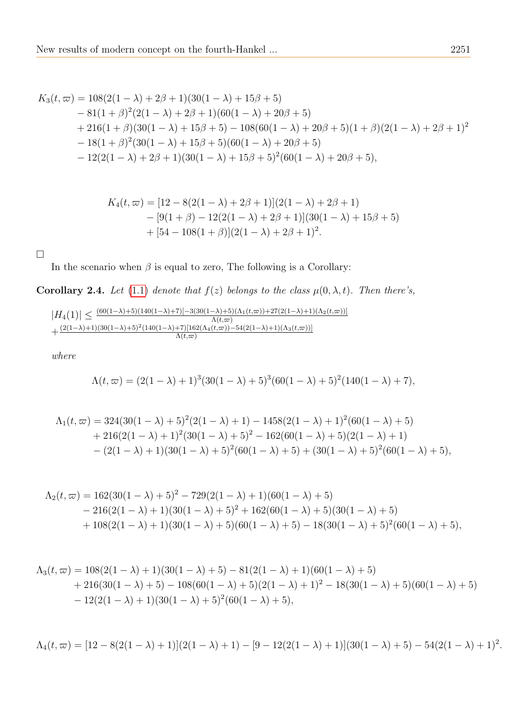$$
K_3(t, \varpi) = 108(2(1 - \lambda) + 2\beta + 1)(30(1 - \lambda) + 15\beta + 5)
$$
  
\n
$$
- 81(1 + \beta)^2(2(1 - \lambda) + 2\beta + 1)(60(1 - \lambda) + 20\beta + 5)
$$
  
\n
$$
+ 216(1 + \beta)(30(1 - \lambda) + 15\beta + 5) - 108(60(1 - \lambda) + 20\beta + 5)(1 + \beta)(2(1 - \lambda) + 2\beta + 1)^2
$$
  
\n
$$
- 18(1 + \beta)^2(30(1 - \lambda) + 15\beta + 5)(60(1 - \lambda) + 20\beta + 5)
$$
  
\n
$$
- 12(2(1 - \lambda) + 2\beta + 1)(30(1 - \lambda) + 15\beta + 5)^2(60(1 - \lambda) + 20\beta + 5),
$$

$$
K_4(t, \varpi) = [12 - 8(2(1 - \lambda) + 2\beta + 1)](2(1 - \lambda) + 2\beta + 1)
$$
  
– [9(1 + \beta) – 12(2(1 - \lambda) + 2\beta + 1)](30(1 - \lambda) + 15\beta + 5)  
+ [54 – 108(1 + \beta)](2(1 - \lambda) + 2\beta + 1)<sup>2</sup>.

□

In the scenario when  $\beta$  is equal to zero, The following is a Corollary:

Corollary 2.4. Let [\(1.1\)](#page-1-0) denote that  $f(z)$  belongs to the class  $\mu(0, \lambda, t)$ . Then there's,

$$
|H_4(1)| \le \frac{(60(1-\lambda)+5)(140(1-\lambda)+7)[-3(30(1-\lambda)+5)(\Lambda_1(t,\varpi))+27(2(1-\lambda)+1)(\Lambda_2(t,\varpi))]}{\Lambda(t,\varpi)} + \frac{(2(1-\lambda)+1)(30(1-\lambda)+5)^2(140(1-\lambda)+7)[162(\Lambda_4(t,\varpi))-54(2(1-\lambda)+1)(\Lambda_3(t,\varpi))]}{\Lambda(t,\varpi)}
$$

$$
\Lambda(t,\varpi) = (2(1-\lambda) + 1)^3(30(1-\lambda) + 5)^3(60(1-\lambda) + 5)^2(140(1-\lambda) + 7),
$$

$$
\Lambda_1(t,\varpi) = 324(30(1-\lambda)+5)^2(2(1-\lambda)+1) - 1458(2(1-\lambda)+1)^2(60(1-\lambda)+5) + 216(2(1-\lambda)+1)^2(30(1-\lambda)+5)^2 - 162(60(1-\lambda)+5)(2(1-\lambda)+1) - (2(1-\lambda)+1)(30(1-\lambda)+5)^2(60(1-\lambda)+5) + (30(1-\lambda)+5)^2(60(1-\lambda)+5),
$$

$$
\Lambda_2(t,\varpi) = 162(30(1-\lambda)+5)^2 - 729(2(1-\lambda)+1)(60(1-\lambda)+5)
$$
  
- 216(2(1-\lambda)+1)(30(1-\lambda)+5)<sup>2</sup> + 162(60(1-\lambda)+5)(30(1-\lambda)+5)  
+ 108(2(1-\lambda)+1)(30(1-\lambda)+5)(60(1-\lambda)+5) - 18(30(1-\lambda)+5)<sup>2</sup>(60(1-\lambda)+5),

$$
\Lambda_3(t,\varpi) = 108(2(1-\lambda)+1)(30(1-\lambda)+5) - 81(2(1-\lambda)+1)(60(1-\lambda)+5) + 216(30(1-\lambda)+5) - 108(60(1-\lambda)+5)(2(1-\lambda)+1)^2 - 18(30(1-\lambda)+5)(60(1-\lambda)+5) - 12(2(1-\lambda)+1)(30(1-\lambda)+5)^2(60(1-\lambda)+5),
$$

$$
\Lambda_4(t,\varpi)=[12-8(2(1-\lambda)+1)](2(1-\lambda)+1)-[9-12(2(1-\lambda)+1)](30(1-\lambda)+5)-54(2(1-\lambda)+1)^2.
$$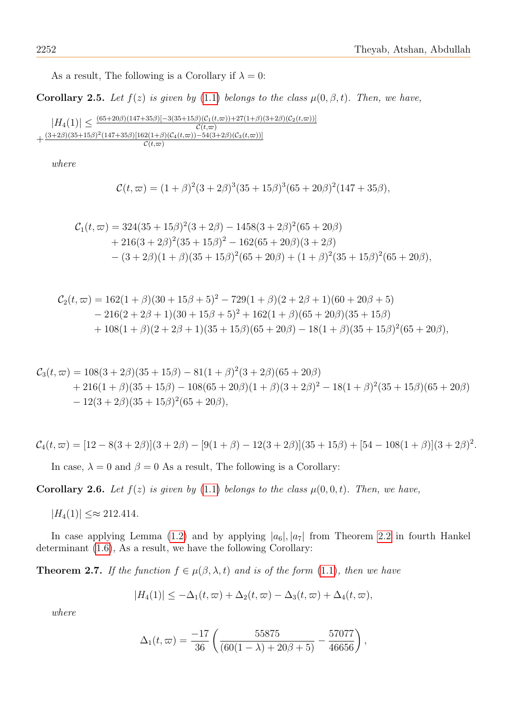As a result, The following is a Corollary if  $\lambda = 0$ :

Corollary 2.5. Let  $f(z)$  is given by [\(1.1\)](#page-1-0) belongs to the class  $\mu(0, \beta, t)$ . Then, we have,

$$
|H_4(1)| \le \frac{(65+20\beta)(147+35\beta)[-3(35+15\beta)(\mathcal{C}_1(t,\varpi)) + 27(1+\beta)(3+2\beta)(\mathcal{C}_2(t,\varpi))]}{\mathcal{C}(t,\varpi)} + \frac{(3+2\beta)(35+15\beta)^2(147+35\beta)[162(1+\beta)(\mathcal{C}_4(t,\varpi)) - 54(3+2\beta)(\mathcal{C}_3(t,\varpi))]}{\mathcal{C}(t,\varpi)}
$$

where

$$
\mathcal{C}(t,\varpi) = (1+\beta)^2(3+2\beta)^3(35+15\beta)^3(65+20\beta)^2(147+35\beta),
$$

$$
C_1(t, \varpi) = 324(35 + 15\beta)^2(3 + 2\beta) - 1458(3 + 2\beta)^2(65 + 20\beta)
$$
  
+ 216(3 + 2\beta)^2(35 + 15\beta)^2 - 162(65 + 20\beta)(3 + 2\beta)  
-(3 + 2\beta)(1 + \beta)(35 + 15\beta)^2(65 + 20\beta) + (1 + \beta)^2(35 + 15\beta)^2(65 + 20\beta),

$$
C_2(t, \varpi) = 162(1+\beta)(30+15\beta+5)^2 - 729(1+\beta)(2+2\beta+1)(60+20\beta+5)
$$
  
- 216(2+2\beta+1)(30+15\beta+5)^2 + 162(1+\beta)(65+20\beta)(35+15\beta)  
+ 108(1+\beta)(2+2\beta+1)(35+15\beta)(65+20\beta) - 18(1+\beta)(35+15\beta)^2(65+20\beta),

$$
C_3(t, \varpi) = 108(3 + 2\beta)(35 + 15\beta) - 81(1 + \beta)^2(3 + 2\beta)(65 + 20\beta)
$$
  
+ 216(1 + \beta)(35 + 15\beta) - 108(65 + 20\beta)(1 + \beta)(3 + 2\beta)^2 - 18(1 + \beta)^2(35 + 15\beta)(65 + 20\beta)  
- 12(3 + 2\beta)(35 + 15\beta)^2(65 + 20\beta),

$$
\mathcal{C}_4(t,\varpi)=[12-8(3+2\beta)](3+2\beta)-[9(1+\beta)-12(3+2\beta)](35+15\beta)+[54-108(1+\beta)](3+2\beta)^2.
$$

In case,  $\lambda = 0$  and  $\beta = 0$  As a result, The following is a Corollary:

**Corollary 2.6.** Let  $f(z)$  is given by [\(1.1\)](#page-1-0) belongs to the class  $\mu(0,0,t)$ . Then, we have,

 $|H_4(1)| \leq \approx 212.414.$ 

In case applying Lemma [\(1.2\)](#page-3-1) and by applying  $|a_6|, |a_7|$  from Theorem [2.2](#page-4-2) in fourth Hankel determinant [\(1.6\)](#page-2-0), As a result, we have the following Corollary:

**Theorem 2.7.** If the function  $f \in \mu(\beta, \lambda, t)$  and is of the form [\(1.1\)](#page-1-0), then we have

$$
|H_4(1)| \leq -\Delta_1(t,\varpi) + \Delta_2(t,\varpi) - \Delta_3(t,\varpi) + \Delta_4(t,\varpi),
$$

$$
\Delta_1(t,\varpi) = \frac{-17}{36} \left( \frac{55875}{(60(1-\lambda)+20\beta+5)} - \frac{57077}{46656} \right),
$$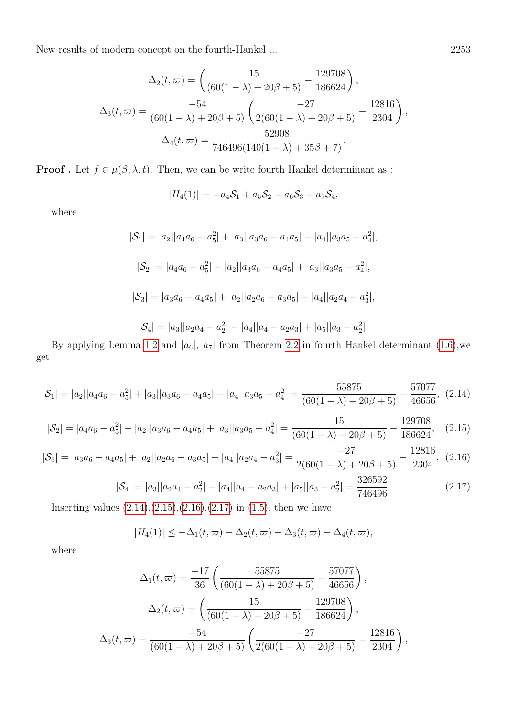$$
\Delta_2(t,\varpi) = \left(\frac{15}{(60(1-\lambda)+20\beta+5)} - \frac{129708}{186624}\right),
$$

$$
\Delta_3(t,\varpi) = \frac{-54}{(60(1-\lambda)+20\beta+5)} \left(\frac{-27}{2(60(1-\lambda)+20\beta+5)} - \frac{12816}{2304}\right),
$$

$$
\Delta_4(t,\varpi) = \frac{52908}{746496(140(1-\lambda)+35\beta+7)}.
$$

**Proof** . Let  $f \in \mu(\beta, \lambda, t)$ . Then, we can be write fourth Hankel determinant as :

$$
|H_4(1)| = -a_4S_1 + a_5S_2 - a_6S_3 + a_7S_4,
$$

where

$$
|\mathcal{S}_1| = |a_2||a_4a_6 - a_5^2| + |a_3||a_3a_6 - a_4a_5| - |a_4||a_3a_5 - a_4^2|,
$$
  
\n
$$
|\mathcal{S}_2| = |a_4a_6 - a_5^2| - |a_2||a_3a_6 - a_4a_5| + |a_3||a_3a_5 - a_4^2|,
$$
  
\n
$$
|\mathcal{S}_3| = |a_3a_6 - a_4a_5| + |a_2||a_2a_6 - a_3a_5| - |a_4||a_2a_4 - a_3^2|,
$$
  
\n
$$
|\mathcal{S}_4| = |a_3||a_2a_4 - a_2^2| - |a_4||a_4 - a_2a_3| + |a_5||a_3 - a_2^2|.
$$

By applying Lemma [1.2](#page-3-1) and  $|a_6|, |a_7|$  from Theorem [2.2](#page-4-2) in fourth Hankel determinant [\(1.6\)](#page-2-0),we get

<span id="page-10-0"></span>
$$
|\mathcal{S}_1| = |a_2||a_4a_6 - a_5^2| + |a_3||a_3a_6 - a_4a_5| - |a_4||a_3a_5 - a_4^2| = \frac{55875}{(60(1 - \lambda) + 20\beta + 5)} - \frac{57077}{46656},
$$
 (2.14)

<span id="page-10-1"></span>
$$
|\mathcal{S}_2| = |a_4 a_6 - a_5^2| - |a_2||a_3 a_6 - a_4 a_5| + |a_3||a_3 a_5 - a_4^2| = \frac{15}{(60(1 - \lambda) + 20\beta + 5)} - \frac{129708}{186624},
$$
 (2.15)

<span id="page-10-2"></span>
$$
|\mathcal{S}_3| = |a_3 a_6 - a_4 a_5| + |a_2||a_2 a_6 - a_3 a_5| - |a_4||a_2 a_4 - a_3^2| = \frac{-27}{2(60(1 - \lambda) + 20\beta + 5)} - \frac{12816}{2304}, (2.16)
$$

<span id="page-10-3"></span>
$$
|\mathcal{S}_4| = |a_3||a_2a_4 - a_2^2| - |a_4||a_4 - a_2a_3| + |a_5||a_3 - a_2^2| = \frac{326592}{746496}.
$$
 (2.17)

Inserting values  $(2.14),(2.15),(2.16),(2.17)$  $(2.14),(2.15),(2.16),(2.17)$  $(2.14),(2.15),(2.16),(2.17)$  $(2.14),(2.15),(2.16),(2.17)$  $(2.14),(2.15),(2.16),(2.17)$  $(2.14),(2.15),(2.16),(2.17)$  $(2.14),(2.15),(2.16),(2.17)$  in  $(1.5)$ , then we have

$$
|H_4(1)| \leq -\Delta_1(t,\varpi) + \Delta_2(t,\varpi) - \Delta_3(t,\varpi) + \Delta_4(t,\varpi),
$$

$$
\Delta_1(t,\varpi) = \frac{-17}{36} \left( \frac{55875}{(60(1-\lambda)+20\beta+5)} - \frac{57077}{46656} \right),
$$

$$
\Delta_2(t,\varpi) = \left( \frac{15}{(60(1-\lambda)+20\beta+5)} - \frac{129708}{186624} \right),
$$

$$
\Delta_3(t,\varpi) = \frac{-54}{(60(1-\lambda)+20\beta+5)} \left( \frac{-27}{2(60(1-\lambda)+20\beta+5)} - \frac{12816}{2304} \right),
$$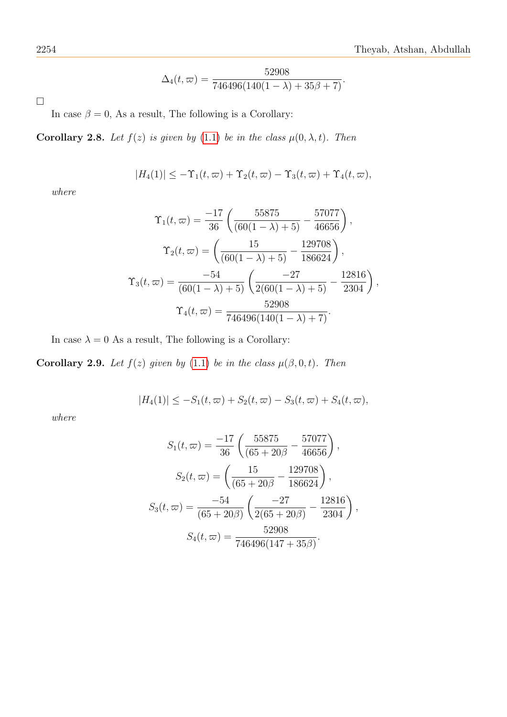$$
\Delta_4(t,\varpi) = \frac{52908}{746496(140(1-\lambda) + 35\beta + 7)}.
$$

 $\Box$ 

In case  $\beta = 0$ , As a result, The following is a Corollary:

Corollary 2.8. Let  $f(z)$  is given by [\(1.1\)](#page-1-0) be in the class  $\mu(0, \lambda, t)$ . Then

$$
|H_4(1)| \leq -\Upsilon_1(t,\varpi) + \Upsilon_2(t,\varpi) - \Upsilon_3(t,\varpi) + \Upsilon_4(t,\varpi),
$$

where

$$
\Upsilon_1(t,\,\varpi) = \frac{-17}{36} \left( \frac{55875}{(60(1-\lambda)+5)} - \frac{57077}{46656} \right),
$$

$$
\Upsilon_2(t,\,\varpi) = \left( \frac{15}{(60(1-\lambda)+5)} - \frac{129708}{186624} \right),
$$

$$
\Upsilon_3(t,\,\varpi) = \frac{-54}{(60(1-\lambda)+5)} \left( \frac{-27}{2(60(1-\lambda)+5)} - \frac{12816}{2304} \right),
$$

$$
\Upsilon_4(t,\,\varpi) = \frac{52908}{746496(140(1-\lambda)+7)}.
$$

In case  $\lambda = 0$  As a result, The following is a Corollary:

**Corollary 2.9.** Let  $f(z)$  given by [\(1.1\)](#page-1-0) be in the class  $\mu(\beta, 0, t)$ . Then

 $|H_4(1)| \leq -S_1(t,\varpi) + S_2(t,\varpi) - S_3(t,\varpi) + S_4(t,\varpi),$ 

$$
S_1(t,\varpi) = \frac{-17}{36} \left( \frac{55875}{(65+20\beta} - \frac{57077}{46656}) \right),
$$
  
\n
$$
S_2(t,\varpi) = \left( \frac{15}{(65+20\beta} - \frac{129708}{186624}) \right),
$$
  
\n
$$
S_3(t,\varpi) = \frac{-54}{(65+20\beta)} \left( \frac{-27}{2(65+20\beta)} - \frac{12816}{2304} \right),
$$
  
\n
$$
S_4(t,\varpi) = \frac{52908}{746496(147+35\beta)}.
$$